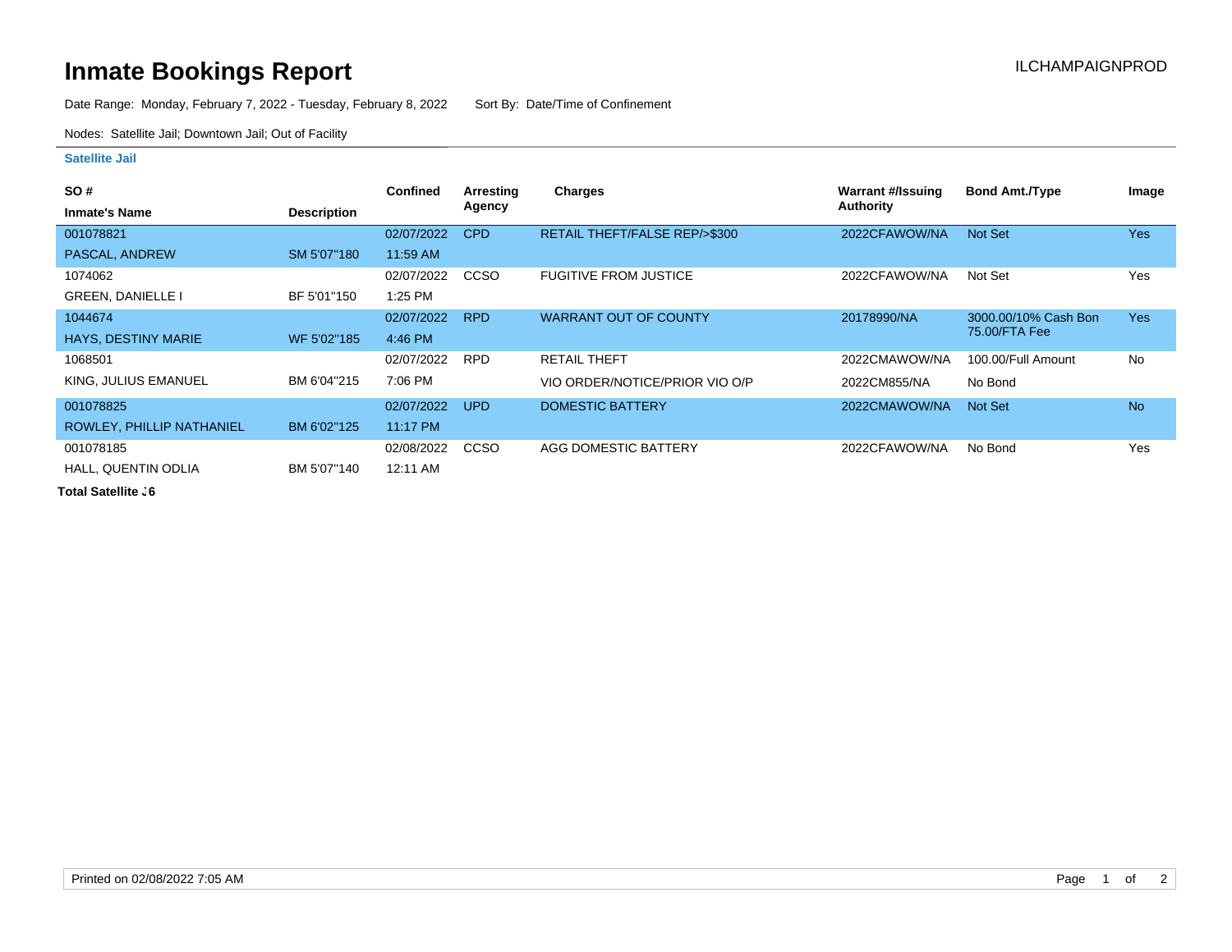## **Inmate Bookings Report Inmate Bookings Report**

Date Range: Monday, February 7, 2022 - Tuesday, February 8, 2022 Sort By: Date/Time of Confinement

Nodes: Satellite Jail; Downtown Jail; Out of Facility

## **Satellite Jail**

| SO#                        |                    | Confined   | Arresting   | <b>Charges</b>                 | Warrant #/Issuing | <b>Bond Amt./Type</b> | Image      |
|----------------------------|--------------------|------------|-------------|--------------------------------|-------------------|-----------------------|------------|
| <b>Inmate's Name</b>       | <b>Description</b> |            | Agency      |                                | <b>Authority</b>  |                       |            |
| 001078821                  |                    | 02/07/2022 | CPD         | RETAIL THEFT/FALSE REP/>\$300  | 2022CFAWOW/NA     | Not Set               | <b>Yes</b> |
| PASCAL, ANDREW             | SM 5'07"180        | 11:59 AM   |             |                                |                   |                       |            |
| 1074062                    |                    | 02/07/2022 | CCSO        | <b>FUGITIVE FROM JUSTICE</b>   | 2022CFAWOW/NA     | Not Set               | Yes        |
| <b>GREEN, DANIELLE I</b>   | BF 5'01"150        | 1:25 PM    |             |                                |                   |                       |            |
| 1044674                    |                    | 02/07/2022 | <b>RPD</b>  | <b>WARRANT OUT OF COUNTY</b>   | 20178990/NA       | 3000.00/10% Cash Bon  | <b>Yes</b> |
| <b>HAYS, DESTINY MARIE</b> | WF 5'02"185        | 4:46 PM    |             |                                |                   | 75.00/FTA Fee         |            |
| 1068501                    |                    | 02/07/2022 | <b>RPD</b>  | <b>RETAIL THEFT</b>            | 2022CMAWOW/NA     | 100.00/Full Amount    | No         |
| KING, JULIUS EMANUEL       | BM 6'04"215        | 7:06 PM    |             | VIO ORDER/NOTICE/PRIOR VIO O/P | 2022CM855/NA      | No Bond               |            |
| 001078825                  |                    | 02/07/2022 | <b>UPD</b>  | DOMESTIC BATTERY               | 2022CMAWOW/NA     | Not Set               | <b>No</b>  |
| ROWLEY, PHILLIP NATHANIEL  | BM 6'02"125        | 11:17 PM   |             |                                |                   |                       |            |
| 001078185                  |                    | 02/08/2022 | <b>CCSO</b> | AGG DOMESTIC BATTERY           | 2022CFAWOW/NA     | No Bond               | Yes        |
| <b>HALL, QUENTIN ODLIA</b> | BM 5'07"140        | 12:11 AM   |             |                                |                   |                       |            |

**Total Satellite . 6**